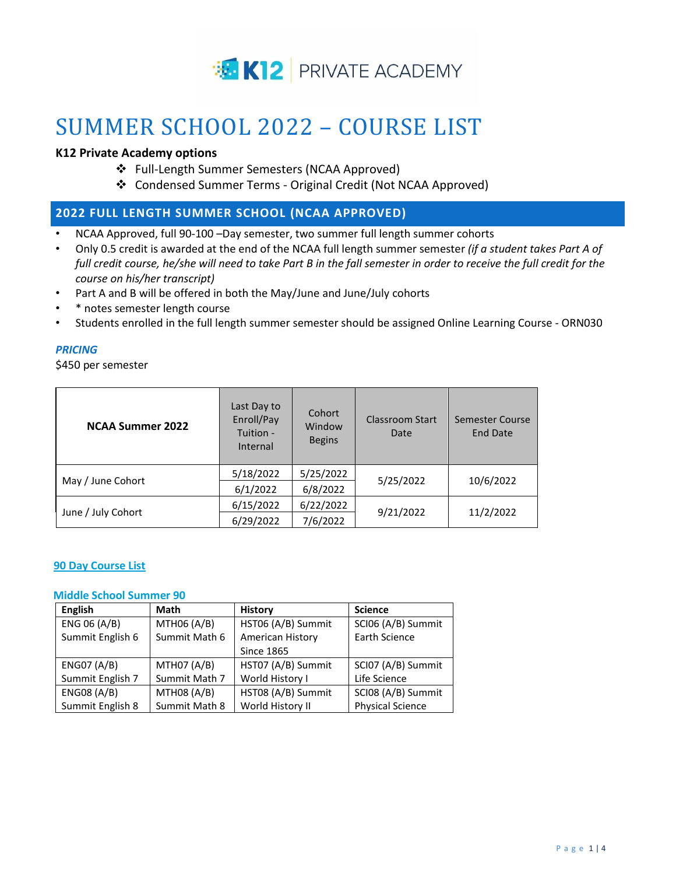

# SUMMER SCHOOL 2022 – COURSE LIST

## **K12 Private Academy options**

- ❖ Full-Length Summer Semesters (NCAA Approved)
- ❖ Condensed Summer Terms Original Credit (Not NCAA Approved)

## **2022 FULL LENGTH SUMMER SCHOOL (NCAA APPROVED)**

- NCAA Approved, full 90-100 –Day semester, two summer full length summer cohorts
- Only 0.5 credit is awarded at the end of the NCAA full length summer semester *(if a student takes Part A of*  full credit course, he/she will need to take Part B in the fall semester in order to receive the full credit for the *course on his/her transcript)*
- Part A and B will be offered in both the May/June and June/July cohorts
- \* notes semester length course
- Students enrolled in the full length summer semester should be assigned Online Learning Course ORN030

## *PRICING*

\$450 per semester

| <b>NCAA Summer 2022</b> | Last Day to<br>Enroll/Pay<br>Tuition -<br>Internal | Cohort<br>Window<br><b>Begins</b> | Classroom Start<br>Date | Semester Course<br><b>End Date</b> |
|-------------------------|----------------------------------------------------|-----------------------------------|-------------------------|------------------------------------|
| May / June Cohort       | 5/18/2022                                          | 5/25/2022                         | 5/25/2022               | 10/6/2022                          |
|                         | 6/1/2022                                           | 6/8/2022                          |                         |                                    |
| June / July Cohort      | 6/15/2022                                          | 6/22/2022                         | 9/21/2022               | 11/2/2022                          |
|                         | 6/29/2022                                          | 7/6/2022                          |                         |                                    |

## **90 Day Course List**

#### **Middle School Summer 90**

| <b>English</b>     | Math               | <b>History</b>     | <b>Science</b>          |
|--------------------|--------------------|--------------------|-------------------------|
| ENG 06 (A/B)       | MTH06 (A/B)        | HST06 (A/B) Summit | SCI06 (A/B) Summit      |
| Summit English 6   | Summit Math 6      | American History   | Earth Science           |
|                    |                    | <b>Since 1865</b>  |                         |
| ENGO7 (A/B)        | <b>MTH07 (A/B)</b> | HST07 (A/B) Summit | SCI07 (A/B) Summit      |
| Summit English 7   | Summit Math 7      | World History I    | Life Science            |
| <b>ENG08 (A/B)</b> | MTH08 (A/B)        | HST08 (A/B) Summit | SCI08 (A/B) Summit      |
| Summit English 8   | Summit Math 8      | World History II   | <b>Physical Science</b> |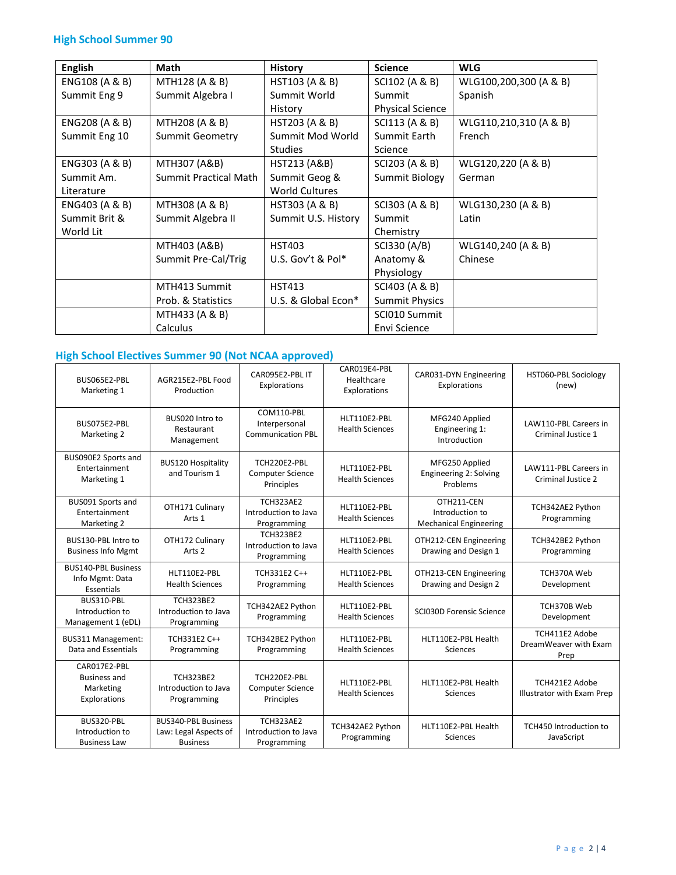# **High School Summer 90**

| <b>English</b> | Math                         | <b>History</b>          | <b>Science</b>          | <b>WLG</b>             |
|----------------|------------------------------|-------------------------|-------------------------|------------------------|
| ENG108 (A & B) | MTH128 (A & B)               | HST103 (A & B)          | SCI102 (A & B)          | WLG100,200,300 (A & B) |
| Summit Eng 9   | Summit Algebra I             | Summit World            | Summit                  | Spanish                |
|                |                              | History                 | <b>Physical Science</b> |                        |
| ENG208 (A & B) | MTH208 (A & B)               | HST203 (A & B)          | SCI113 (A & B)          | WLG110,210,310 (A & B) |
| Summit Eng 10  | Summit Geometry              | Summit Mod World        | Summit Earth            | French                 |
|                |                              | <b>Studies</b>          | Science                 |                        |
| ENG303 (A & B) | MTH307 (A&B)                 | <b>HST213 (A&amp;B)</b> | SCI203 (A & B)          | WLG120,220 (A & B)     |
| Summit Am.     | <b>Summit Practical Math</b> | Summit Geog &           | Summit Biology          | German                 |
| Literature     |                              | <b>World Cultures</b>   |                         |                        |
| ENG403 (A & B) | MTH308 (A & B)               | HST303 (A & B)          | SCI303 (A & B)          | WLG130,230 (A & B)     |
| Summit Brit &  | Summit Algebra II            | Summit U.S. History     | Summit                  | Latin                  |
| World Lit      |                              |                         | Chemistry               |                        |
|                | MTH403 (A&B)                 | <b>HST403</b>           | SCI330 (A/B)            | WLG140,240 (A & B)     |
|                | Summit Pre-Cal/Trig          | U.S. Gov't & Pol $*$    | Anatomy &               | Chinese                |
|                |                              |                         | Physiology              |                        |
|                | MTH413 Summit                | <b>HST413</b>           | SCI403 (A & B)          |                        |
|                | Prob. & Statistics           | U.S. & Global Econ*     | <b>Summit Physics</b>   |                        |
|                | MTH433 (A & B)               |                         | SCI010 Summit           |                        |
|                | Calculus                     |                         | Envi Science            |                        |

# **High School Electives Summer 90 (Not NCAA approved)**

| BUS065E2-PBL<br>Marketing 1                                      | AGR215E2-PBL Food<br>Production                                        | CAR095E2-PBL IT<br>Explorations                         | CAR019E4-PBL<br>Healthcare<br>Explorations | CAR031-DYN Engineering<br>Explorations                         | HST060-PBL Sociology<br>(new)                   |
|------------------------------------------------------------------|------------------------------------------------------------------------|---------------------------------------------------------|--------------------------------------------|----------------------------------------------------------------|-------------------------------------------------|
| BUS075E2-PBL<br>Marketing 2                                      | BUS020 Intro to<br>Restaurant<br>Management                            | COM110-PBL<br>Interpersonal<br><b>Communication PBL</b> | HLT110E2-PBL<br><b>Health Sciences</b>     | MFG240 Applied<br>Engineering 1:<br>Introduction               | LAW110-PBL Careers in<br>Criminal Justice 1     |
| BUS090E2 Sports and<br>Entertainment<br>Marketing 1              | <b>BUS120 Hospitality</b><br>and Tourism 1                             | TCH220E2-PBL<br><b>Computer Science</b><br>Principles   | HLT110E2-PBL<br><b>Health Sciences</b>     | MFG250 Applied<br>Engineering 2: Solving<br>Problems           | LAW111-PBL Careers in<br>Criminal Justice 2     |
| BUS091 Sports and<br>Entertainment<br>Marketing 2                | OTH171 Culinary<br>Arts 1                                              | <b>TCH323AE2</b><br>Introduction to Java<br>Programming | HLT110E2-PBL<br><b>Health Sciences</b>     | OTH211-CEN<br>Introduction to<br><b>Mechanical Engineering</b> | TCH342AE2 Python<br>Programming                 |
| BUS130-PBL Intro to<br><b>Business Info Mgmt</b>                 | OTH172 Culinary<br>Arts <sub>2</sub>                                   | <b>TCH323BE2</b><br>Introduction to Java<br>Programming | HLT110E2-PBL<br><b>Health Sciences</b>     | OTH212-CEN Engineering<br>Drawing and Design 1                 | TCH342BE2 Python<br>Programming                 |
| <b>BUS140-PBL Business</b><br>Info Mgmt: Data<br>Essentials      | HLT110E2-PBL<br><b>Health Sciences</b>                                 | TCH331E2 C++<br>Programming                             | HLT110E2-PBL<br><b>Health Sciences</b>     | OTH213-CEN Engineering<br>Drawing and Design 2                 | TCH370A Web<br>Development                      |
| BUS310-PBL<br>Introduction to<br>Management 1 (eDL)              | <b>TCH323BE2</b><br>Introduction to Java<br>Programming                | TCH342AE2 Python<br>Programming                         | HLT110E2-PBL<br><b>Health Sciences</b>     | SCI030D Forensic Science                                       | TCH370B Web<br>Development                      |
| BUS311 Management:<br>Data and Essentials                        | TCH331E2 C++<br>Programming                                            | TCH342BE2 Python<br>Programming                         | HLT110E2-PBL<br><b>Health Sciences</b>     | HLT110E2-PBL Health<br><b>Sciences</b>                         | TCH411E2 Adobe<br>DreamWeaver with Exam<br>Prep |
| CAR017E2-PBL<br><b>Business and</b><br>Marketing<br>Explorations | <b>TCH323BE2</b><br>Introduction to Java<br>Programming                | TCH220E2-PBL<br><b>Computer Science</b><br>Principles   | HLT110E2-PBL<br><b>Health Sciences</b>     | HLT110E2-PBL Health<br>Sciences                                | TCH421E2 Adobe<br>Illustrator with Exam Prep    |
| BUS320-PBL<br>Introduction to<br><b>Business Law</b>             | <b>BUS340-PBL Business</b><br>Law: Legal Aspects of<br><b>Business</b> | <b>TCH323AE2</b><br>Introduction to Java<br>Programming | TCH342AE2 Python<br>Programming            | HLT110E2-PBL Health<br><b>Sciences</b>                         | TCH450 Introduction to<br>JavaScript            |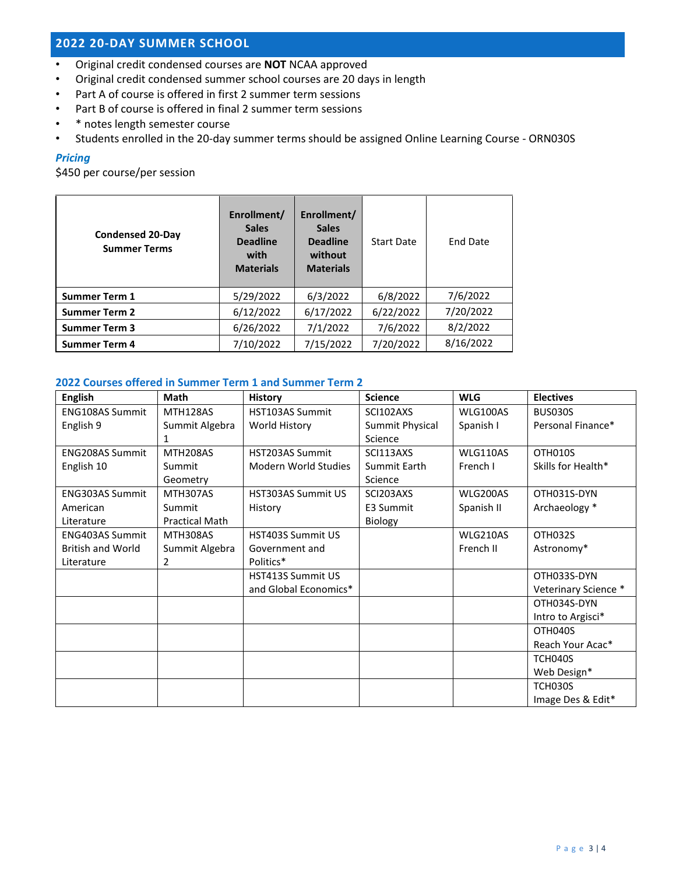## **2022 20-DAY SUMMER SCHOOL**

- Original credit condensed courses are **NOT** NCAA approved
- Original credit condensed summer school courses are 20 days in length
- Part A of course is offered in first 2 summer term sessions
- Part B of course is offered in final 2 summer term sessions
- \* notes length semester course
- Students enrolled in the 20-day summer terms should be assigned Online Learning Course ORN030S

## *Pricing*

\$450 per course/per session

| <b>Condensed 20-Day</b><br><b>Summer Terms</b> | Enrollment/<br><b>Sales</b><br><b>Deadline</b><br>with<br><b>Materials</b> | Enrollment/<br><b>Sales</b><br><b>Deadline</b><br>without<br><b>Materials</b> | <b>Start Date</b> | <b>End Date</b> |
|------------------------------------------------|----------------------------------------------------------------------------|-------------------------------------------------------------------------------|-------------------|-----------------|
| <b>Summer Term 1</b>                           | 5/29/2022                                                                  | 6/3/2022                                                                      | 6/8/2022          | 7/6/2022        |
| <b>Summer Term 2</b>                           | 6/12/2022                                                                  | 6/17/2022                                                                     | 6/22/2022         | 7/20/2022       |
| <b>Summer Term 3</b>                           | 6/26/2022                                                                  | 7/1/2022                                                                      | 7/6/2022          | 8/2/2022        |
| <b>Summer Term 4</b>                           | 7/10/2022                                                                  | 7/15/2022                                                                     | 7/20/2022         | 8/16/2022       |

## **2022 Courses offered in Summer Term 1 and Summer Term 2**

| <b>English</b>           | <b>Math</b>           | <b>History</b>              | <b>Science</b>  | <b>WLG</b>      | <b>Electives</b>     |
|--------------------------|-----------------------|-----------------------------|-----------------|-----------------|----------------------|
| <b>ENG108AS Summit</b>   | MTH128AS              | HST103AS Summit             | SCI102AXS       | <b>WLG100AS</b> | <b>BUS030S</b>       |
| English 9                | Summit Algebra        | World History               | Summit Physical | Spanish I       | Personal Finance*    |
|                          | 1                     |                             | Science         |                 |                      |
| <b>ENG208AS Summit</b>   | MTH208AS              | <b>HST203AS Summit</b>      | SCI113AXS       | WLG110AS        | OTH010S              |
| English 10               | Summit                | <b>Modern World Studies</b> | Summit Earth    | French I        | Skills for Health*   |
|                          | Geometry              |                             | Science         |                 |                      |
| <b>ENG303AS Summit</b>   | MTH307AS              | <b>HST303AS Summit US</b>   | SCI203AXS       | WLG200AS        | OTH031S-DYN          |
| American                 | Summit                | History                     | E3 Summit       | Spanish II      | Archaeology *        |
| Literature               | <b>Practical Math</b> |                             | Biology         |                 |                      |
| <b>ENG403AS Summit</b>   | MTH308AS              | <b>HST403S Summit US</b>    |                 | WLG210AS        | OTH032S              |
| <b>British and World</b> | Summit Algebra        | Government and              |                 | French II       | Astronomy*           |
| Literature               | 2                     | Politics*                   |                 |                 |                      |
|                          |                       | HST413S Summit US           |                 |                 | OTH033S-DYN          |
|                          |                       | and Global Economics*       |                 |                 | Veterinary Science * |
|                          |                       |                             |                 |                 | OTH034S-DYN          |
|                          |                       |                             |                 |                 | Intro to Argisci*    |
|                          |                       |                             |                 |                 | OTH040S              |
|                          |                       |                             |                 |                 | Reach Your Acac*     |
|                          |                       |                             |                 |                 | TCH040S              |
|                          |                       |                             |                 |                 | Web Design*          |
|                          |                       |                             |                 |                 | <b>TCH030S</b>       |
|                          |                       |                             |                 |                 | Image Des & Edit*    |